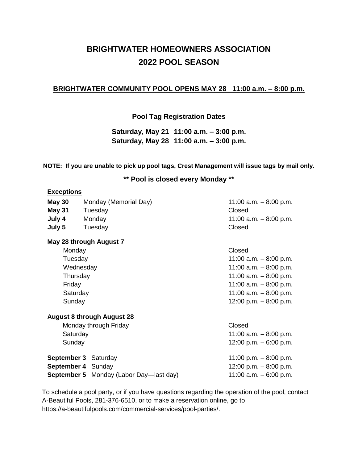## **BRIGHTWATER HOMEOWNERS ASSOCIATION 2022 POOL SEASON**

### **BRIGHTWATER COMMUNITY POOL OPENS MAY 28 11:00 a.m. – 8:00 p.m.**

**Pool Tag Registration Dates**

**Saturday, May 21 11:00 a.m. – 3:00 p.m. Saturday, May 28 11:00 a.m. – 3:00 p.m.**

**NOTE: If you are unable to pick up pool tags, Crest Management will issue tags by mail only.**

**\*\* Pool is closed every Monday \*\***

#### **Exceptions**

| <b>May 30</b>                     | Monday (Memorial Day) | 11:00 a.m. $-8:00$ p.m. |
|-----------------------------------|-----------------------|-------------------------|
| <b>May 31</b>                     | Tuesday               | Closed                  |
| July 4                            | Monday                | 11:00 a.m. $-8:00$ p.m. |
| July 5                            | Tuesday               | Closed                  |
| May 28 through August 7<br>Monday |                       | Closed                  |
| Tuesday                           |                       | 11:00 a.m. $-8:00$ p.m. |
| Wednesday                         |                       | 11:00 a.m. $-8:00$ p.m. |
| Thursday                          |                       | 11:00 a.m. $-8:00$ p.m. |

Friday 11:00 a.m. – 8:00 p.m. Saturday 11:00 a.m. – 8:00 p.m. Sunday 12:00 p.m. – 8:00 p.m.

#### **August 8 through August 28**

Monday through Friday Closed Saturday 11:00 a.m. – 8:00 p.m. Sunday 12:00 p.m. – 6:00 p.m. **September 3** Saturday 11:00 p.m. – 8:00 p.m. **September 4** Sunday **12:00 p.m.** – 8:00 p.m. **September 5** Monday (Labor Day—last day) 11:00 a.m. – 6:00 p.m.

To schedule a pool party, or if you have questions regarding the operation of the pool, contact A-Beautiful Pools, 281-376-6510, or to make a reservation online, go to [https://a-beautifulpools.com/commercial-services/pool-parties/.](https://a-beautifulpools.com/commercial-services/pool-parties/)